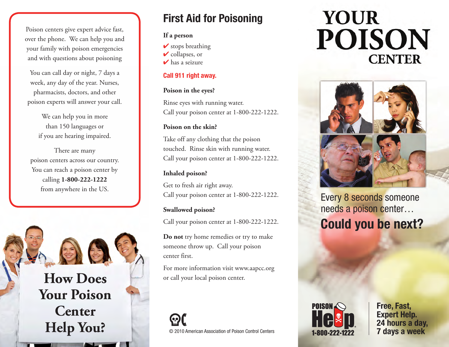Poison centers give expert advice fast, over the phone. We can help you and your family with poison emergencies and with questions about poisoning

You can call day or night, 7 days a week, any day of the year. Nurses, pharmacists, doctors, and other poison experts will answer your call.

> We can help you in more than 150 languages or if you are hearing impaired.

There are many poison centers across our country. You can reach a poison center by calling **1-800-222-1222** from anywhere in the US.

**How Does Your Poison Center Help You?**

### **First Aid for Poisoning**

#### **If a person**

 $\checkmark$  stops breathing

 $\triangleright$  collapses, or

 $\triangleright$  has a seizure

#### **Call 911 right away.**

#### **Poison in the eyes?**

Rinse eyes with running water. Call your poison center at 1-800-222-1222.

#### **Poison on the skin?**

Take off any clothing that the poison touched. Rinse skin with running water. Call your poison center at 1-800-222-1222.

#### **Inhaled poison?**

Get to fresh air right away. Call your poison center at 1-800-222-1222.

#### **Swallowed poison?**

Call your poison center at 1-800-222-1222.

**Do not** try home remedies or try to make someone throw up. Call your poison center first.

For more information visit www.aapcc.org or call your local poison center.

© 2010 American Association of Poison Control Centers **7 days a week**

# **YOUR POISON CENTER**



Every 8 seconds someone needs a poison center…  **Could you be next?**



**Free, Fast, Expert Help. 24 hours a day,**